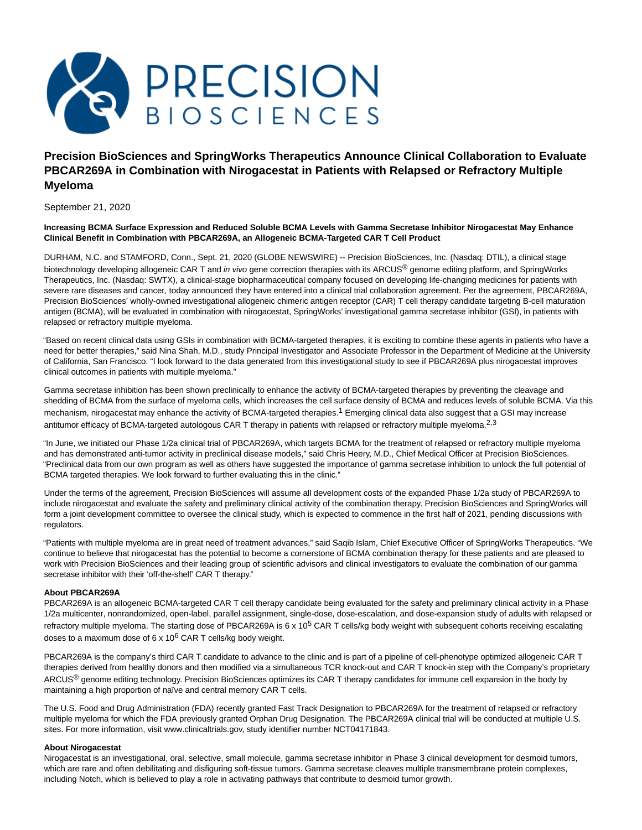

# **Precision BioSciences and SpringWorks Therapeutics Announce Clinical Collaboration to Evaluate PBCAR269A in Combination with Nirogacestat in Patients with Relapsed or Refractory Multiple Myeloma**

September 21, 2020

**Increasing BCMA Surface Expression and Reduced Soluble BCMA Levels with Gamma Secretase Inhibitor Nirogacestat May Enhance Clinical Benefit in Combination with PBCAR269A, an Allogeneic BCMA-Targeted CAR T Cell Product**

DURHAM, N.C. and STAMFORD, Conn., Sept. 21, 2020 (GLOBE NEWSWIRE) -- Precision BioSciences, Inc. (Nasdaq: DTIL), a clinical stage biotechnology developing allogeneic CAR T and in vivo gene correction therapies with its ARCUS<sup>®</sup> genome editing platform, and SpringWorks Therapeutics, Inc. (Nasdaq: SWTX), a clinical-stage biopharmaceutical company focused on developing life-changing medicines for patients with severe rare diseases and cancer, today announced they have entered into a clinical trial collaboration agreement. Per the agreement, PBCAR269A, Precision BioSciences' wholly-owned investigational allogeneic chimeric antigen receptor (CAR) T cell therapy candidate targeting B-cell maturation antigen (BCMA), will be evaluated in combination with nirogacestat, SpringWorks' investigational gamma secretase inhibitor (GSI), in patients with relapsed or refractory multiple myeloma.

"Based on recent clinical data using GSIs in combination with BCMA-targeted therapies, it is exciting to combine these agents in patients who have a need for better therapies," said Nina Shah, M.D., study Principal Investigator and Associate Professor in the Department of Medicine at the University of California, San Francisco. "I look forward to the data generated from this investigational study to see if PBCAR269A plus nirogacestat improves clinical outcomes in patients with multiple myeloma."

Gamma secretase inhibition has been shown preclinically to enhance the activity of BCMA-targeted therapies by preventing the cleavage and shedding of BCMA from the surface of myeloma cells, which increases the cell surface density of BCMA and reduces levels of soluble BCMA. Via this mechanism, nirogacestat may enhance the activity of BCMA-targeted therapies.<sup>1</sup> Emerging clinical data also suggest that a GSI may increase antitumor efficacy of BCMA-targeted autologous CAR T therapy in patients with relapsed or refractory multiple myeloma.<sup>2,3</sup>

"In June, we initiated our Phase 1/2a clinical trial of PBCAR269A, which targets BCMA for the treatment of relapsed or refractory multiple myeloma and has demonstrated anti-tumor activity in preclinical disease models," said Chris Heery, M.D., Chief Medical Officer at Precision BioSciences. "Preclinical data from our own program as well as others have suggested the importance of gamma secretase inhibition to unlock the full potential of BCMA targeted therapies. We look forward to further evaluating this in the clinic."

Under the terms of the agreement, Precision BioSciences will assume all development costs of the expanded Phase 1/2a study of PBCAR269A to include nirogacestat and evaluate the safety and preliminary clinical activity of the combination therapy. Precision BioSciences and SpringWorks will form a joint development committee to oversee the clinical study, which is expected to commence in the first half of 2021, pending discussions with regulators.

"Patients with multiple myeloma are in great need of treatment advances," said Saqib Islam, Chief Executive Officer of SpringWorks Therapeutics. "We continue to believe that nirogacestat has the potential to become a cornerstone of BCMA combination therapy for these patients and are pleased to work with Precision BioSciences and their leading group of scientific advisors and clinical investigators to evaluate the combination of our gamma secretase inhibitor with their 'off-the-shelf' CAR T therapy."

## **About PBCAR269A**

PBCAR269A is an allogeneic BCMA-targeted CAR T cell therapy candidate being evaluated for the safety and preliminary clinical activity in a Phase 1/2a multicenter, nonrandomized, open-label, parallel assignment, single-dose, dose-escalation, and dose-expansion study of adults with relapsed or refractory multiple myeloma. The starting dose of PBCAR269A is 6 x 10<sup>5</sup> CAR T cells/kg body weight with subsequent cohorts receiving escalating doses to a maximum dose of  $6 \times 10^6$  CAR T cells/kg body weight.

PBCAR269A is the company's third CAR T candidate to advance to the clinic and is part of a pipeline of cell-phenotype optimized allogeneic CAR T therapies derived from healthy donors and then modified via a simultaneous TCR knock-out and CAR T knock-in step with the Company's proprietary ARCUS<sup>®</sup> genome editing technology. Precision BioSciences optimizes its CAR T therapy candidates for immune cell expansion in the body by maintaining a high proportion of naïve and central memory CAR T cells.

The U.S. Food and Drug Administration (FDA) recently granted Fast Track Designation to PBCAR269A for the treatment of relapsed or refractory multiple myeloma for which the FDA previously granted Orphan Drug Designation. The PBCAR269A clinical trial will be conducted at multiple U.S. sites. For more information, visit www.clinicaltrials.gov, study identifier number NCT04171843.

## **About Nirogacestat**

Nirogacestat is an investigational, oral, selective, small molecule, gamma secretase inhibitor in Phase 3 clinical development for desmoid tumors, which are rare and often debilitating and disfiguring soft-tissue tumors. Gamma secretase cleaves multiple transmembrane protein complexes, including Notch, which is believed to play a role in activating pathways that contribute to desmoid tumor growth.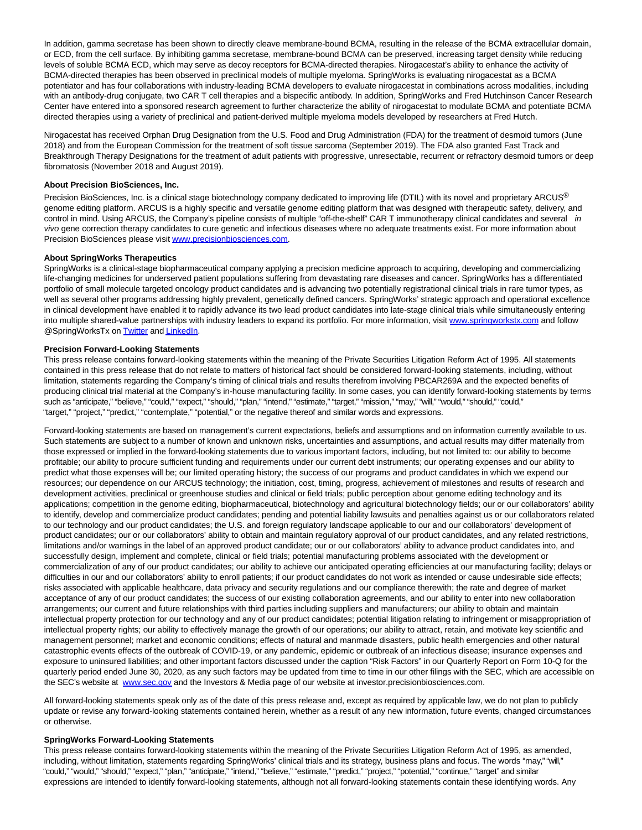In addition, gamma secretase has been shown to directly cleave membrane-bound BCMA, resulting in the release of the BCMA extracellular domain, or ECD, from the cell surface. By inhibiting gamma secretase, membrane-bound BCMA can be preserved, increasing target density while reducing levels of soluble BCMA ECD, which may serve as decoy receptors for BCMA-directed therapies. Nirogacestat's ability to enhance the activity of BCMA-directed therapies has been observed in preclinical models of multiple myeloma. SpringWorks is evaluating nirogacestat as a BCMA potentiator and has four collaborations with industry-leading BCMA developers to evaluate nirogacestat in combinations across modalities, including with an antibody-drug conjugate, two CAR T cell therapies and a bispecific antibody. In addition, SpringWorks and Fred Hutchinson Cancer Research Center have entered into a sponsored research agreement to further characterize the ability of nirogacestat to modulate BCMA and potentiate BCMA directed therapies using a variety of preclinical and patient-derived multiple myeloma models developed by researchers at Fred Hutch.

Nirogacestat has received Orphan Drug Designation from the U.S. Food and Drug Administration (FDA) for the treatment of desmoid tumors (June 2018) and from the European Commission for the treatment of soft tissue sarcoma (September 2019). The FDA also granted Fast Track and Breakthrough Therapy Designations for the treatment of adult patients with progressive, unresectable, recurrent or refractory desmoid tumors or deep fibromatosis (November 2018 and August 2019).

## **About Precision BioSciences, Inc.**

Precision BioSciences, Inc. is a clinical stage biotechnology company dedicated to improving life (DTIL) with its novel and proprietary ARCUS<sup>®</sup> genome editing platform. ARCUS is a highly specific and versatile genome editing platform that was designed with therapeutic safety, delivery, and control in mind. Using ARCUS, the Company's pipeline consists of multiple "off-the-shelf" CAR T immunotherapy clinical candidates and several in vivo gene correction therapy candidates to cure genetic and infectious diseases where no adequate treatments exist. For more information about Precision BioSciences please visi[t www.precisionbiosciences.com.](https://www.globenewswire.com/Tracker?data=wwHlRMRHuzhgTiVDfiF9_VV9_eFHL2EcJaOacBziGTeJmSSrTi1jyq1T3eRC0ILF19rsSbvkcENEvL6nWtNBtWTgP22xAo-c2SNwgmEicfsiDl7y8vmCJ_KJGCPt7wVS)

## **About SpringWorks Therapeutics**

SpringWorks is a clinical-stage biopharmaceutical company applying a precision medicine approach to acquiring, developing and commercializing life-changing medicines for underserved patient populations suffering from devastating rare diseases and cancer. SpringWorks has a differentiated portfolio of small molecule targeted oncology product candidates and is advancing two potentially registrational clinical trials in rare tumor types, as well as several other programs addressing highly prevalent, genetically defined cancers. SpringWorks' strategic approach and operational excellence in clinical development have enabled it to rapidly advance its two lead product candidates into late-stage clinical trials while simultaneously entering into multiple shared-value partnerships with industry leaders to expand its portfolio. For more information, visit [www.springworkstx.com a](https://www.globenewswire.com/Tracker?data=ZmpMDl774g93nzM_gWsk6x1z52XtC8h1Yz1Nt8BrbR7qhRgK1j8jroNhUR3Sses-d0hDo2dPy8CTQMDzENN4qhLaqAYsNhffJ0KnTpoezm0=)nd follow @SpringWorksTx on [Twitter a](https://www.globenewswire.com/Tracker?data=bu4kR773vuAwrN9gxpiwWGYQaAtQ5CjKwU9rW6wBiXIvnasE3No5ogKSV44r3iw9oFLVkkoFXtKjEDem92Dprw==)n[d LinkedIn.](https://www.globenewswire.com/Tracker?data=zrSbxR0S7aCTSVS1ORy1eWPyi1N2oM6YnB-bLzw331HyKgxaB-xrV9VDmZlrMHEMvJPGNnCtMJuuOCTiXL4tTnWy4vpIyUR16naj37I4t6pFxgwkhfM3jRkuefzb7RDG)

## **Precision Forward-Looking Statements**

This press release contains forward-looking statements within the meaning of the Private Securities Litigation Reform Act of 1995. All statements contained in this press release that do not relate to matters of historical fact should be considered forward-looking statements, including, without limitation, statements regarding the Company's timing of clinical trials and results therefrom involving PBCAR269A and the expected benefits of producing clinical trial material at the Company's in-house manufacturing facility. In some cases, you can identify forward-looking statements by terms such as "anticipate," "believe," "could," "expect," "should," "plan," "intend," "estimate," "target," "mission," "may," "will," "would," "should," "could," "target," "project," "predict," "contemplate," "potential," or the negative thereof and similar words and expressions.

Forward-looking statements are based on management's current expectations, beliefs and assumptions and on information currently available to us. Such statements are subject to a number of known and unknown risks, uncertainties and assumptions, and actual results may differ materially from those expressed or implied in the forward-looking statements due to various important factors, including, but not limited to: our ability to become profitable; our ability to procure sufficient funding and requirements under our current debt instruments; our operating expenses and our ability to predict what those expenses will be; our limited operating history; the success of our programs and product candidates in which we expend our resources; our dependence on our ARCUS technology; the initiation, cost, timing, progress, achievement of milestones and results of research and development activities, preclinical or greenhouse studies and clinical or field trials; public perception about genome editing technology and its applications; competition in the genome editing, biopharmaceutical, biotechnology and agricultural biotechnology fields; our or our collaborators' ability to identify, develop and commercialize product candidates; pending and potential liability lawsuits and penalties against us or our collaborators related to our technology and our product candidates; the U.S. and foreign regulatory landscape applicable to our and our collaborators' development of product candidates; our or our collaborators' ability to obtain and maintain regulatory approval of our product candidates, and any related restrictions, limitations and/or warnings in the label of an approved product candidate; our or our collaborators' ability to advance product candidates into, and successfully design, implement and complete, clinical or field trials; potential manufacturing problems associated with the development or commercialization of any of our product candidates; our ability to achieve our anticipated operating efficiencies at our manufacturing facility; delays or difficulties in our and our collaborators' ability to enroll patients; if our product candidates do not work as intended or cause undesirable side effects; risks associated with applicable healthcare, data privacy and security regulations and our compliance therewith; the rate and degree of market acceptance of any of our product candidates; the success of our existing collaboration agreements, and our ability to enter into new collaboration arrangements; our current and future relationships with third parties including suppliers and manufacturers; our ability to obtain and maintain intellectual property protection for our technology and any of our product candidates; potential litigation relating to infringement or misappropriation of intellectual property rights; our ability to effectively manage the growth of our operations; our ability to attract, retain, and motivate key scientific and management personnel; market and economic conditions; effects of natural and manmade disasters, public health emergencies and other natural catastrophic events effects of the outbreak of COVID-19, or any pandemic, epidemic or outbreak of an infectious disease; insurance expenses and exposure to uninsured liabilities; and other important factors discussed under the caption "Risk Factors" in our Quarterly Report on Form 10-Q for the quarterly period ended June 30, 2020, as any such factors may be updated from time to time in our other filings with the SEC, which are accessible on the SEC's website at [www.sec.gov a](https://www.globenewswire.com/Tracker?data=BMgsSReElZSwKwImKM2Ytl29hTSfRYwx_80iqE55B4Bw-mDsM6T-rgu1ia-Ho1iU4chKHshrxYUkhNRn65d1_w==)nd the Investors & Media page of our website at investor.precisionbiosciences.com.

All forward-looking statements speak only as of the date of this press release and, except as required by applicable law, we do not plan to publicly update or revise any forward-looking statements contained herein, whether as a result of any new information, future events, changed circumstances or otherwise.

### **SpringWorks Forward-Looking Statements**

This press release contains forward-looking statements within the meaning of the Private Securities Litigation Reform Act of 1995, as amended, including, without limitation, statements regarding SpringWorks' clinical trials and its strategy, business plans and focus. The words "may," "will," "could," "would," "should," "expect," "plan," "anticipate," "intend," "believe," "estimate," "predict," "project," "potential," "continue," "target" and similar expressions are intended to identify forward-looking statements, although not all forward-looking statements contain these identifying words. Any